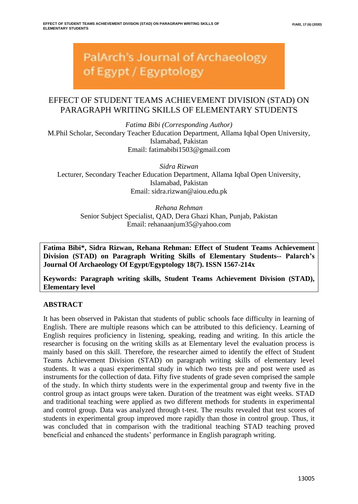**PalArch's Journal of Archaeology** of Egypt / Egyptology

# EFFECT OF STUDENT TEAMS ACHIEVEMENT DIVISION (STAD) ON PARAGRAPH WRITING SKILLS OF ELEMENTARY STUDENTS

*Fatima Bibi (Corresponding Author)* M.Phil Scholar, Secondary Teacher Education Department, Allama Iqbal Open University, Islamabad, Pakistan Email: fatimabibi1503@gmail.com

*Sidra Rizwan* Lecturer, Secondary Teacher Education Department, Allama Iqbal Open University, Islamabad, Pakistan Email: sidra.rizwan@aiou.edu.pk

*Rehana Rehman* Senior Subject Specialist, QAD, Dera Ghazi Khan, Punjab, Pakistan Email: rehanaanjum35@yahoo.com

**Fatima Bibi\*, Sidra Rizwan, Rehana Rehman: Effect of Student Teams Achievement Division (STAD) on Paragraph Writing Skills of Elementary Students-- Palarch's Journal Of Archaeology Of Egypt/Egyptology 18(7). ISSN 1567-214x**

**Keywords: Paragraph writing skills, Student Teams Achievement Division (STAD), Elementary level**

# **ABSTRACT**

It has been observed in Pakistan that students of public schools face difficulty in learning of English. There are multiple reasons which can be attributed to this deficiency. Learning of English requires proficiency in listening, speaking, reading and writing. In this article the researcher is focusing on the writing skills as at Elementary level the evaluation process is mainly based on this skill. Therefore, the researcher aimed to identify the effect of Student Teams Achievement Division (STAD) on paragraph writing skills of elementary level students. It was a quasi experimental study in which two tests pre and post were used as instruments for the collection of data. Fifty five students of grade seven comprised the sample of the study. In which thirty students were in the experimental group and twenty five in the control group as intact groups were taken. Duration of the treatment was eight weeks. STAD and traditional teaching were applied as two different methods for students in experimental and control group. Data was analyzed through t-test. The results revealed that test scores of students in experimental group improved more rapidly than those in control group. Thus, it was concluded that in comparison with the traditional teaching STAD teaching proved beneficial and enhanced the students' performance in English paragraph writing.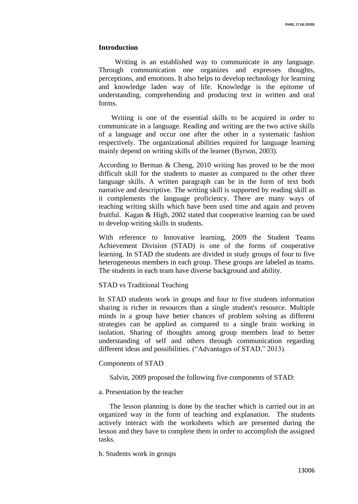## **Introduction**

 Writing is an established way to communicate in any language. Through communication one organizes and expresses thoughts, perceptions, and emotions. It also helps to develop technology for learning and knowledge laden way of life. Knowledge is the epitome of understanding, comprehending and producing text in written and oral forms.

 Writing is one of the essential skills to be acquired in order to communicate in a language. Reading and writing are the two active skills of a language and occur one after the other in a systematic fashion respectively. The organizational abilities required for language learning mainly depend on writing skills of the learner (Byrson, 2003).

According to Berman & Cheng, 2010 writing has proved to be the most difficult skill for the students to master as compared to the other three language skills. A written paragraph can be in the form of text both narrative and descriptive. The writing skill is supported by reading skill as it complements the language proficiency. There are many ways of teaching writing skills which have been used time and again and proven fruitful. Kagan & High, 2002 stated that cooperative learning can be used to develop writing skills in students.

With reference to Innovative learning, 2009 the Student Teams Achievement Division (STAD) is one of the forms of cooperative learning. In STAD the students are divided in study groups of four to five heterogeneous members in each group. These groups are labeled as teams. The students in each team have diverse background and ability.

## STAD vs Traditional Teaching

In STAD students work in groups and four to five students information sharing is richer in resources than a single student's resource. Multiple minds in a group have better chances of problem solving as different strategies can be applied as compared to a single brain working in isolation. Sharing of thoughts among group members lead to better understanding of self and others through communication regarding different ideas and possibilities. ("Advantages of STAD," 2013).

## Components of STAD

Salvin, 2009 proposed the following five components of STAD:

## a. Presentation by the teacher

 The lesson planning is done by the teacher which is carried out in an organized way in the form of teaching and explanation. The students actively interact with the worksheets which are presented during the lesson and they have to complete them in order to accomplish the assigned tasks.

b. Students work in groups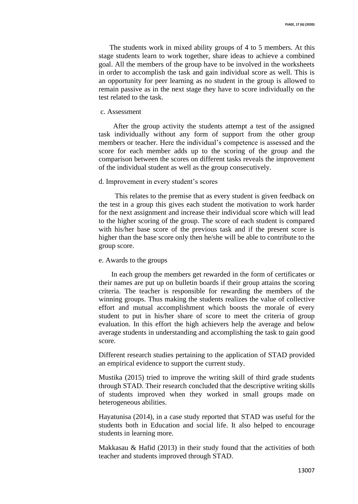The students work in mixed ability groups of 4 to 5 members. At this stage students learn to work together, share ideas to achieve a combined goal. All the members of the group have to be involved in the worksheets in order to accomplish the task and gain individual score as well. This is an opportunity for peer learning as no student in the group is allowed to remain passive as in the next stage they have to score individually on the test related to the task.

# c. Assessment

 After the group activity the students attempt a test of the assigned task individually without any form of support from the other group members or teacher. Here the individual's competence is assessed and the score for each member adds up to the scoring of the group and the comparison between the scores on different tasks reveals the improvement of the individual student as well as the group consecutively.

#### d. Improvement in every student's scores

 This relates to the premise that as every student is given feedback on the test in a group this gives each student the motivation to work harder for the next assignment and increase their individual score which will lead to the higher scoring of the group. The score of each student is compared with his/her base score of the previous task and if the present score is higher than the base score only then he/she will be able to contribute to the group score.

#### e. Awards to the groups

 In each group the members get rewarded in the form of certificates or their names are put up on bulletin boards if their group attains the scoring criteria. The teacher is responsible for rewarding the members of the winning groups. Thus making the students realizes the value of collective effort and mutual accomplishment which boosts the morale of every student to put in his/her share of score to meet the criteria of group evaluation. In this effort the high achievers help the average and below average students in understanding and accomplishing the task to gain good score.

Different research studies pertaining to the application of STAD provided an empirical evidence to support the current study.

Mustika (2015) tried to improve the writing skill of third grade students through STAD. Their research concluded that the descriptive writing skills of students improved when they worked in small groups made on heterogeneous abilities.

Hayatunisa (2014), in a case study reported that STAD was useful for the students both in Education and social life. It also helped to encourage students in learning more.

Makkasau & Hafid (2013) in their study found that the activities of both teacher and students improved through STAD.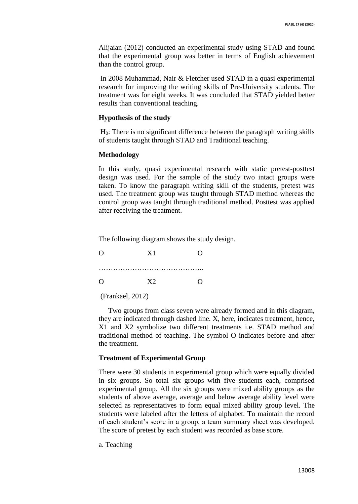Alijaian (2012) conducted an experimental study using STAD and found that the experimental group was better in terms of English achievement than the control group.

In 2008 Muhammad, Nair & Fletcher used STAD in a quasi experimental research for improving the writing skills of Pre-University students. The treatment was for eight weeks. It was concluded that STAD yielded better results than conventional teaching.

## **Hypothesis of the study**

H0: There is no significant difference between the paragraph writing skills of students taught through STAD and Traditional teaching.

#### **Methodology**

In this study, quasi experimental research with static pretest-posttest design was used. For the sample of the study two intact groups were taken. To know the paragraph writing skill of the students, pretest was used. The treatment group was taught through STAD method whereas the control group was taught through traditional method. Posttest was applied after receiving the treatment.

The following diagram shows the study design.

| $\lambda$ | X1             | O        |
|-----------|----------------|----------|
|           |                |          |
| $\Omega$  | X <sub>2</sub> | $\Omega$ |

(Frankael, 2012)

Two groups from class seven were already formed and in this diagram, they are indicated through dashed line. X, here, indicates treatment, hence, X1 and X2 symbolize two different treatments i.e. STAD method and traditional method of teaching. The symbol O indicates before and after the treatment.

#### **Treatment of Experimental Group**

There were 30 students in experimental group which were equally divided in six groups. So total six groups with five students each, comprised experimental group. All the six groups were mixed ability groups as the students of above average, average and below average ability level were selected as representatives to form equal mixed ability group level. The students were labeled after the letters of alphabet. To maintain the record of each student's score in a group, a team summary sheet was developed. The score of pretest by each student was recorded as base score.

a. Teaching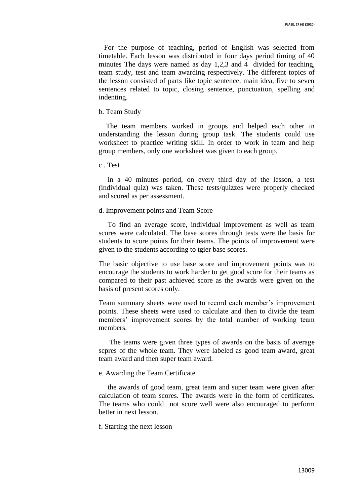For the purpose of teaching, period of English was selected from timetable. Each lesson was distributed in four days period timing of 40 minutes The days were named as day 1,2,3 and 4 divided for teaching, team study, test and team awarding respectively. The different topics of the lesson consisted of parts like topic sentence, main idea, five to seven sentences related to topic, closing sentence, punctuation, spelling and indenting.

#### b. Team Study

 The team members worked in groups and helped each other in understanding the lesson during group task. The students could use worksheet to practice writing skill. In order to work in team and help group members, only one worksheet was given to each group.

c . Test

 in a 40 minutes period, on every third day of the lesson, a test (individual quiz) was taken. These tests/quizzes were properly checked and scored as per assessment.

## d. Improvement points and Team Score

 To find an average score, individual improvement as well as team scores were calculated. The base scores through tests were the basis for students to score points for their teams. The points of improvement were given to the students according to tgier base scores.

The basic objective to use base score and improvement points was to encourage the students to work harder to get good score for their teams as compared to their past achieved score as the awards were given on the basis of present scores only.

Team summary sheets were used to record each member's improvement points. These sheets were used to calculate and then to divide the team members' improvement scores by the total number of working team members.

 The teams were given three types of awards on the basis of average scpres of the whole team. They were labeled as good team award, great team award and then super team award.

## e. Awarding the Team Certificate

 the awards of good team, great team and super team were given after calculation of team scores. The awards were in the form of certificates. The teams who could not score well were also encouraged to perform better in next lesson.

#### f. Starting the next lesson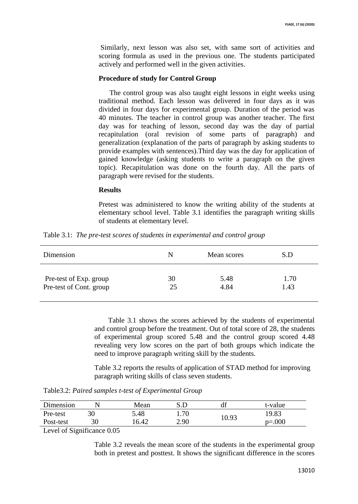Similarly, next lesson was also set, with same sort of activities and scoring formula as used in the previous one. The students participated actively and performed well in the given activities.

## **Procedure of study for Control Group**

 The control group was also taught eight lessons in eight weeks using traditional method. Each lesson was delivered in four days as it was divided in four days for experimental group. Duration of the period was 40 minutes. The teacher in control group was another teacher. The first day was for teaching of lesson, second day was the day of partial recapitulation (oral revision of some parts of paragraph) and generalization (explanation of the parts of paragraph by asking students to provide examples with sentences).Third day was the day for application of gained knowledge (asking students to write a paragraph on the given topic). Recapitulation was done on the fourth day. All the parts of paragraph were revised for the students.

#### **Results**

Pretest was administered to know the writing ability of the students at elementary school level. Table 3.1 identifies the paragraph writing skills of students at elementary level.

| Dimension               | N  | Mean scores | S.D  |
|-------------------------|----|-------------|------|
| Pre-test of Exp. group  | 30 | 5.48        | 1.70 |
| Pre-test of Cont. group | 25 | 4.84        | 1.43 |

Table 3.1: *The pre-test scores of students in experimental and control group*

Table 3.1 shows the scores achieved by the students of experimental and control group before the treatment. Out of total score of 28, the students of experimental group scored 5.48 and the control group scored 4.48 revealing very low scores on the part of both groups which indicate the need to improve paragraph writing skill by the students.

Table 3.2 reports the results of application of STAD method for improving paragraph writing skills of class seven students.

Table3.2: *Paired samples t-test of Experimental Group*

| Dimension |    | Mean  |      | di    | t-value   |
|-----------|----|-------|------|-------|-----------|
| Pre-test  | 30 | 5.48  | 1.70 |       | 19.83     |
| Post-test | 30 | 16.42 | 2.90 | 10.93 | $p = 000$ |

Level of Significance 0.05

Table 3.2 reveals the mean score of the students in the experimental group both in pretest and posttest. It shows the significant difference in the scores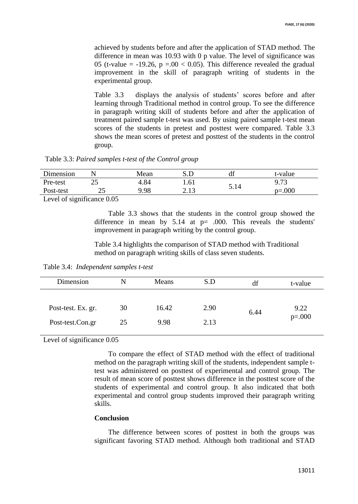achieved by students before and after the application of STAD method. The difference in mean was 10.93 with 0 p value. The level of significance was 05 (t-value =  $-19.26$ , p = 00 < 0.05). This difference revealed the gradual improvement in the skill of paragraph writing of students in the experimental group.

Table 3.3 displays the analysis of students' scores before and after learning through Traditional method in control group. To see the difference in paragraph writing skill of students before and after the application of treatment paired sample t-test was used. By using paired sample t-test mean scores of the students in pretest and posttest were compared. Table 3.3 shows the mean scores of pretest and posttest of the students in the control group.

Table 3.3: *Paired samples t-test of the Control group*

| Dimension |                        | Mean |              | df   | t-value     |
|-----------|------------------------|------|--------------|------|-------------|
| Pre-test  | $\cap$ $\subset$<br>رے | 4.84 | 1.61         |      | 9.73        |
| Post-test | າ ເ<br>ىك              | 9.98 | 212<br>ل 1 . | 5.14 | $p = 0.000$ |

Level of significance 0.05

Table 3.3 shows that the students in the control group showed the difference in mean by  $5.14$  at  $p= .000$ . This reveals the students' improvement in paragraph writing by the control group.

Table 3.4 highlights the comparison of STAD method with Traditional method on paragraph writing skills of class seven students.

Table 3.4: *Independent samples t-test*

| Dimension          | N  | Means | S.D  | df   | t-value  |
|--------------------|----|-------|------|------|----------|
|                    |    |       |      |      |          |
| Post-test. Ex. gr. | 30 | 16.42 | 2.90 | 6.44 | 9.22     |
| Post-test.Con.gr   | 25 | 9.98  | 2.13 |      | $p=.000$ |

Level of significance 0.05

To compare the effect of STAD method with the effect of traditional method on the paragraph writing skill of the students, independent sample ttest was administered on posttest of experimental and control group. The result of mean score of posttest shows difference in the posttest score of the students of experimental and control group. It also indicated that both experimental and control group students improved their paragraph writing skills.

#### **Conclusion**

The difference between scores of posttest in both the groups was significant favoring STAD method. Although both traditional and STAD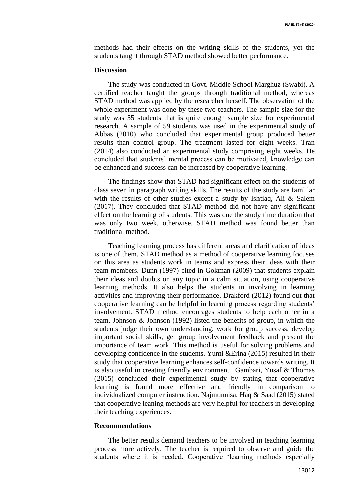methods had their effects on the writing skills of the students, yet the students taught through STAD method showed better performance.

#### **Discussion**

The study was conducted in Govt. Middle School Marghuz (Swabi). A certified teacher taught the groups through traditional method, whereas STAD method was applied by the researcher herself. The observation of the whole experiment was done by these two teachers. The sample size for the study was 55 students that is quite enough sample size for experimental research. A sample of 59 students was used in the experimental study of Abbas (2010) who concluded that experimental group produced better results than control group. The treatment lasted for eight weeks. Tran (2014) also conducted an experimental study comprising eight weeks. He concluded that students' mental process can be motivated, knowledge can be enhanced and success can be increased by cooperative learning.

The findings show that STAD had significant effect on the students of class seven in paragraph writing skills. The results of the study are familiar with the results of other studies except a study by Ishtiaq, Ali & Salem (2017). They concluded that STAD method did not have any significant effect on the learning of students. This was due the study time duration that was only two week, otherwise, STAD method was found better than traditional method.

Teaching learning process has different areas and clarification of ideas is one of them. STAD method as a method of cooperative learning focuses on this area as students work in teams and express their ideas with their team members. Dunn (1997) cited in Gokman (2009) that students explain their ideas and doubts on any topic in a calm situation, using cooperative learning methods. It also helps the students in involving in learning activities and improving their performance. Drakford (2012) found out that cooperative learning can be helpful in learning process regarding students' involvement. STAD method encourages students to help each other in a team. Johnson & Johnson (1992) listed the benefits of group, in which the students judge their own understanding, work for group success, develop important social skills, get group involvement feedback and present the importance of team work. This method is useful for solving problems and developing confidence in the students. Yumi &Erina (2015) resulted in their study that cooperative learning enhances self-confidence towards writing. It is also useful in creating friendly environment. Gambari, Yusaf & Thomas (2015) concluded their experimental study by stating that cooperative learning is found more effective and friendly in comparison to individualized computer instruction. Najmunnisa, Haq & Saad (2015) stated that cooperative leaning methods are very helpful for teachers in developing their teaching experiences.

## **Recommendations**

The better results demand teachers to be involved in teaching learning process more actively. The teacher is required to observe and guide the students where it is needed. Cooperative 'learning methods especially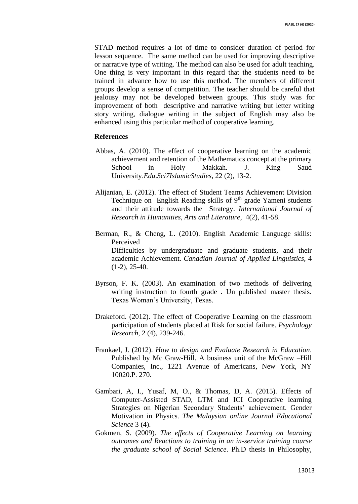STAD method requires a lot of time to consider duration of period for lesson sequence. The same method can be used for improving descriptive or narrative type of writing. The method can also be used for adult teaching. One thing is very important in this regard that the students need to be trained in advance how to use this method. The members of different groups develop a sense of competition. The teacher should be careful that jealousy may not be developed between groups. This study was for improvement of both descriptive and narrative writing but letter writing story writing, dialogue writing in the subject of English may also be enhanced using this particular method of cooperative learning.

## **References**

- Abbas, A. (2010). The effect of cooperative learning on the academic achievement and retention of the Mathematics concept at the primary School in Holy Makkah. J. King Saud University.*Edu*.*Sci7IslamicStudies*, 22 (2), 13-2.
- Alijanian, E. (2012). The effect of Student Teams Achievement Division Technique on English Reading skills of 9<sup>th</sup> grade Yameni students and their attitude towards the Strategy. *International Journal of Research in Humanities*, *Arts and Literature*, 4(2), 41-58.
- Berman, R., & Cheng, L. (2010). English Academic Language skills: Perceived Difficulties by undergraduate and graduate students, and their academic Achievement. *Canadian Journal of Applied Linguistics*, 4  $(1-2)$ , 25-40.
- Byrson, F. K. (2003). An examination of two methods of delivering writing instruction to fourth grade . Un published master thesis. Texas Woman's University, Texas.
- Drakeford. (2012). The effect of Cooperative Learning on the classroom participation of students placed at Risk for social failure. *Psychology Research*, 2 (4), 239-246.
- Frankael, J. (2012). *How to design and Evaluate Research in Education*. Published by Mc Graw-Hill. A business unit of the McGraw –Hill Companies, Inc., 1221 Avenue of Americans, New York, NY 10020.P. 270.
- Gambari, A, I., Yusaf, M, O., & Thomas, D, A. (2015). Effects of Computer-Assisted STAD, LTM and ICI Cooperative learning Strategies on Nigerian Secondary Students' achievement. Gender Motivation in Physics. *The Malaysian online Journal Educational Science* 3 (4).
- Gokmen, S. (2009). *The effects of Cooperative Learning on learning outcomes and Reactions to training in an in-service training course the graduate school of Social Science*. Ph.D thesis in Philosophy,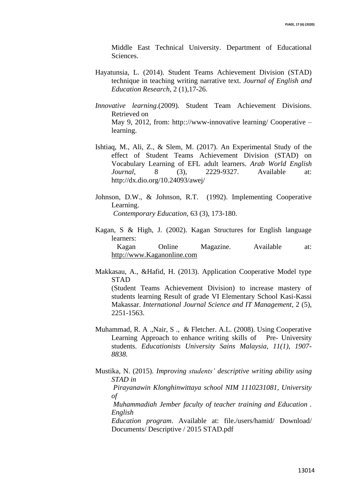Middle East Technical University. Department of Educational **Sciences** 

- Hayatunsia, L. (2014). Student Teams Achievement Division (STAD) technique in teaching writing narrative text. *Journal of English and Education Research*, 2 (1),17-26.
- *Innovative learning*.(2009). Student Team Achievement Divisions. Retrieved on May 9, 2012, from: http:://www-innovative learning/ Cooperative – learning.
- Ishtiaq, M., Ali, Z., & Slem, M. (2017). An Experimental Study of the effect of Student Teams Achievement Division (STAD) on Vocabulary Learning of EFL adult learners. *Arab World English Journal*, 8 (3), 2229-9327. Available at: <http://dx.dio.org/10.24093/awej/>
- Johnson, D.W., & Johnson, R.T. (1992). Implementing Cooperative Learning.  *Contemporary Education*, 63 (3), 173-180.
- Kagan, S & High, J. (2002). Kagan Structures for English language learners: Kagan Online Magazine. Available at: [http://www.Kaganonline.com](http://www.kaganonline.com/)
- Makkasau, A., &Hafid, H. (2013). Application Cooperative Model type STAD

 (Student Teams Achievement Division) to increase mastery of students learning Result of grade VI Elementary School Kasi-Kassi Makassar. *International Journal Science and IT Management*, 2 (5), 2251-1563.

- Muhammad, R. A .,Nair, S ., & Fletcher. A.L. (2008). Using Cooperative Learning Approach to enhance writing skills of Pre- University students. *Educationists University Sains Malaysia, 11(1), 1907- 8838.*
- Mustika, N. (2015). *Improving students' descriptive writing ability using STAD in*

 *Pirayanawin Klonghinwittaya school NIM 1110231081, University of* 

 *Muhammadiah Jember faculty of teacher training and Education . English* 

 *Education program*. Available at: file./users/hamid/ Download/ Documents/ Descriptive / 2015 STAD.pdf